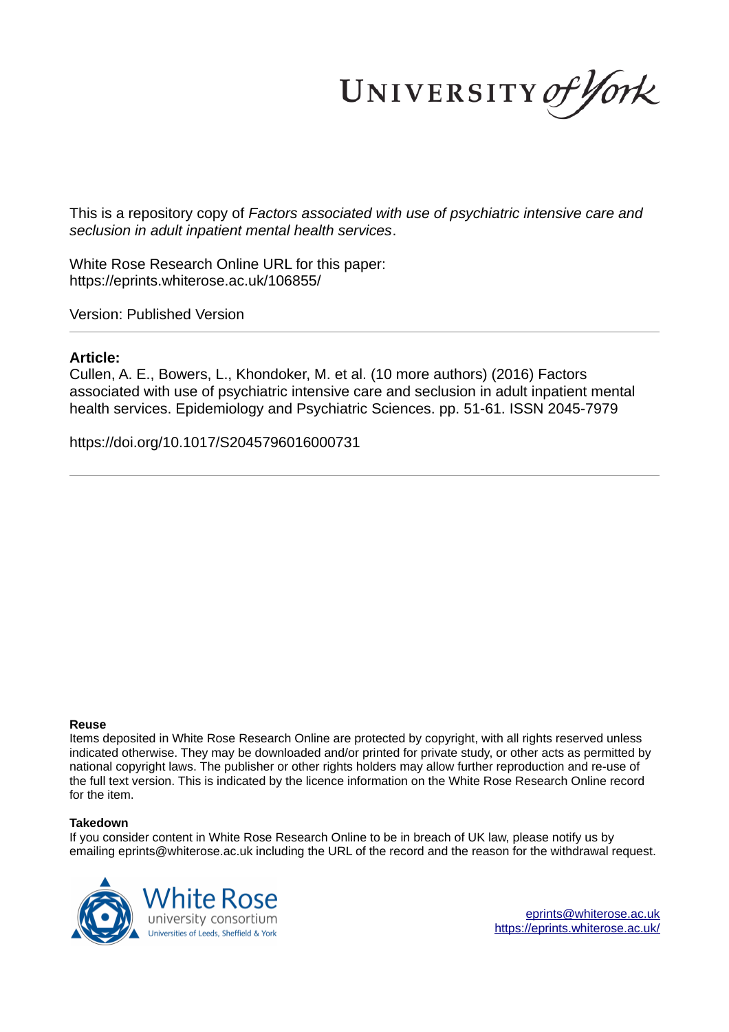UNIVERSITY of York

This is a repository copy of *Factors associated with use of psychiatric intensive care and seclusion in adult inpatient mental health services*.

White Rose Research Online URL for this paper: https://eprints.whiterose.ac.uk/106855/

Version: Published Version

# **Article:**

Cullen, A. E., Bowers, L., Khondoker, M. et al. (10 more authors) (2016) Factors associated with use of psychiatric intensive care and seclusion in adult inpatient mental health services. Epidemiology and Psychiatric Sciences. pp. 51-61. ISSN 2045-7979

https://doi.org/10.1017/S2045796016000731

# **Reuse**

Items deposited in White Rose Research Online are protected by copyright, with all rights reserved unless indicated otherwise. They may be downloaded and/or printed for private study, or other acts as permitted by national copyright laws. The publisher or other rights holders may allow further reproduction and re-use of the full text version. This is indicated by the licence information on the White Rose Research Online record for the item.

# **Takedown**

If you consider content in White Rose Research Online to be in breach of UK law, please notify us by emailing eprints@whiterose.ac.uk including the URL of the record and the reason for the withdrawal request.



eprints@whiterose.ac.uk https://eprints.whiterose.ac.uk/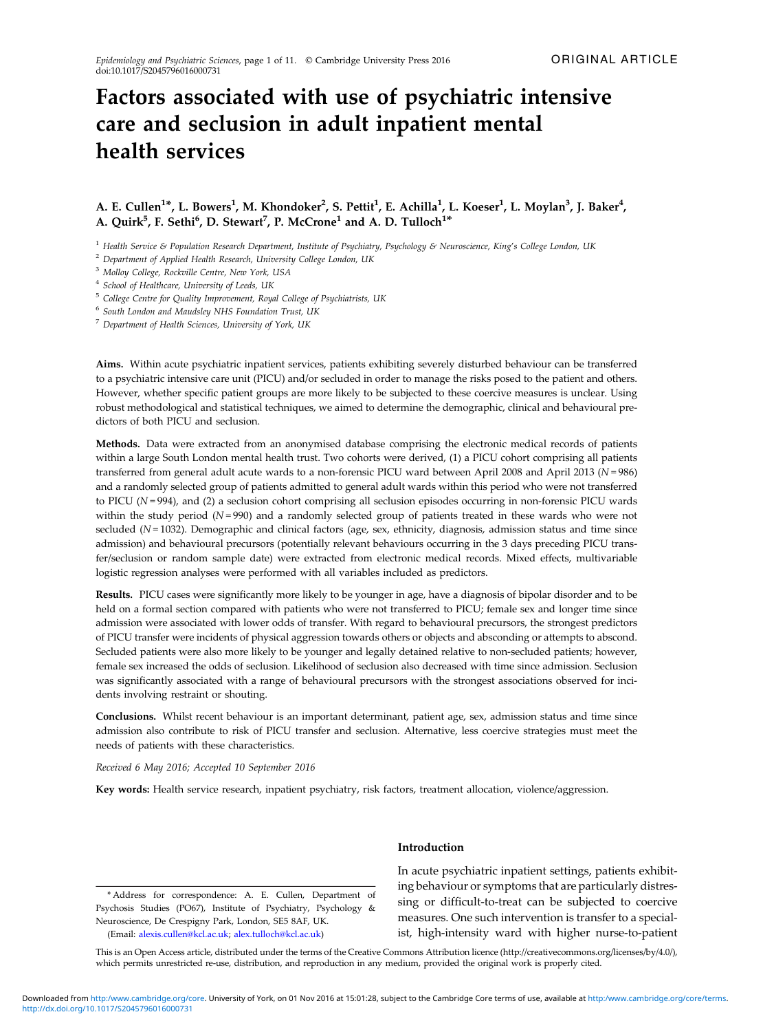# Factors associated with use of psychiatric intensive care and seclusion in adult inpatient mental health services

# A. E. Cullen<sup>1\*</sup>, L. Bowers<sup>1</sup>, M. Khondoker<sup>2</sup>, S. Pettit<sup>1</sup>, E. Achilla<sup>1</sup>, L. Koeser<sup>1</sup>, L. Moylan<sup>3</sup>, J. Baker<sup>4</sup>, A. Quirk $^5$ , F. Sethi $^6$ , D. Stewart $^7$ , P. McCrone $^1$  and A. D. Tulloch $^{1*}$

<sup>1</sup> *Health Service & Population Research Department, Institute of Psychiatry, Psychology & Neuroscience, King*'*s College London, UK*

<sup>2</sup> *Department of Applied Health Research, University College London, UK*

<sup>3</sup> *Molloy College, Rockville Centre, New York, USA*

4 *School of Healthcare, University of Leeds, UK*

<sup>5</sup> *College Centre for Quality Improvement, Royal College of Psychiatrists, UK*

6 *South London and Maudsley NHS Foundation Trust, UK*

<sup>7</sup> *Department of Health Sciences, University of York, UK*

Aims. Within acute psychiatric inpatient services, patients exhibiting severely disturbed behaviour can be transferred to a psychiatric intensive care unit (PICU) and/or secluded in order to manage the risks posed to the patient and others. However, whether specific patient groups are more likely to be subjected to these coercive measures is unclear. Using robust methodological and statistical techniques, we aimed to determine the demographic, clinical and behavioural predictors of both PICU and seclusion.

Methods. Data were extracted from an anonymised database comprising the electronic medical records of patients within a large South London mental health trust. Two cohorts were derived, (1) a PICU cohort comprising all patients transferred from general adult acute wards to a non-forensic PICU ward between April 2008 and April 2013 (*N* = 986) and a randomly selected group of patients admitted to general adult wards within this period who were not transferred to PICU (*N* = 994), and (2) a seclusion cohort comprising all seclusion episodes occurring in non-forensic PICU wards within the study period ( $N = 990$ ) and a randomly selected group of patients treated in these wards who were not secluded ( $N = 1032$ ). Demographic and clinical factors (age, sex, ethnicity, diagnosis, admission status and time since admission) and behavioural precursors (potentially relevant behaviours occurring in the 3 days preceding PICU transfer/seclusion or random sample date) were extracted from electronic medical records. Mixed effects, multivariable logistic regression analyses were performed with all variables included as predictors.

Results. PICU cases were significantly more likely to be younger in age, have a diagnosis of bipolar disorder and to be held on a formal section compared with patients who were not transferred to PICU; female sex and longer time since admission were associated with lower odds of transfer. With regard to behavioural precursors, the strongest predictors of PICU transfer were incidents of physical aggression towards others or objects and absconding or attempts to abscond. Secluded patients were also more likely to be younger and legally detained relative to non-secluded patients; however, female sex increased the odds of seclusion. Likelihood of seclusion also decreased with time since admission. Seclusion was significantly associated with a range of behavioural precursors with the strongest associations observed for incidents involving restraint or shouting.

Conclusions. Whilst recent behaviour is an important determinant, patient age, sex, admission status and time since admission also contribute to risk of PICU transfer and seclusion. Alternative, less coercive strategies must meet the needs of patients with these characteristics.

*Received 6 May 2016; Accepted 10 September 2016*

Key words: Health service research, inpatient psychiatry, risk factors, treatment allocation, violence/aggression.

\* Address for correspondence: A. E. Cullen, Department of Psychosis Studies (PO67), Institute of Psychiatry, Psychology & Neuroscience, De Crespigny Park, London, SE5 8AF, UK. (Email: alexis.cullen@kcl.ac.uk; alex.tulloch@kcl.ac.uk)

# Introduction

In acute psychiatric inpatient settings, patients exhibiting behaviour or symptoms that are particularly distressing or difficult-to-treat can be subjected to coercive measures. One such intervention is transfer to a specialist, high-intensity ward with higher nurse-to-patient

This is an Open Access article, distributed under the terms of the Creative Commons Attribution licence (http://creativecommons.org/licenses/by/4.0/), which permits unrestricted re-use, distribution, and reproduction in any medium, provided the original work is properly cited.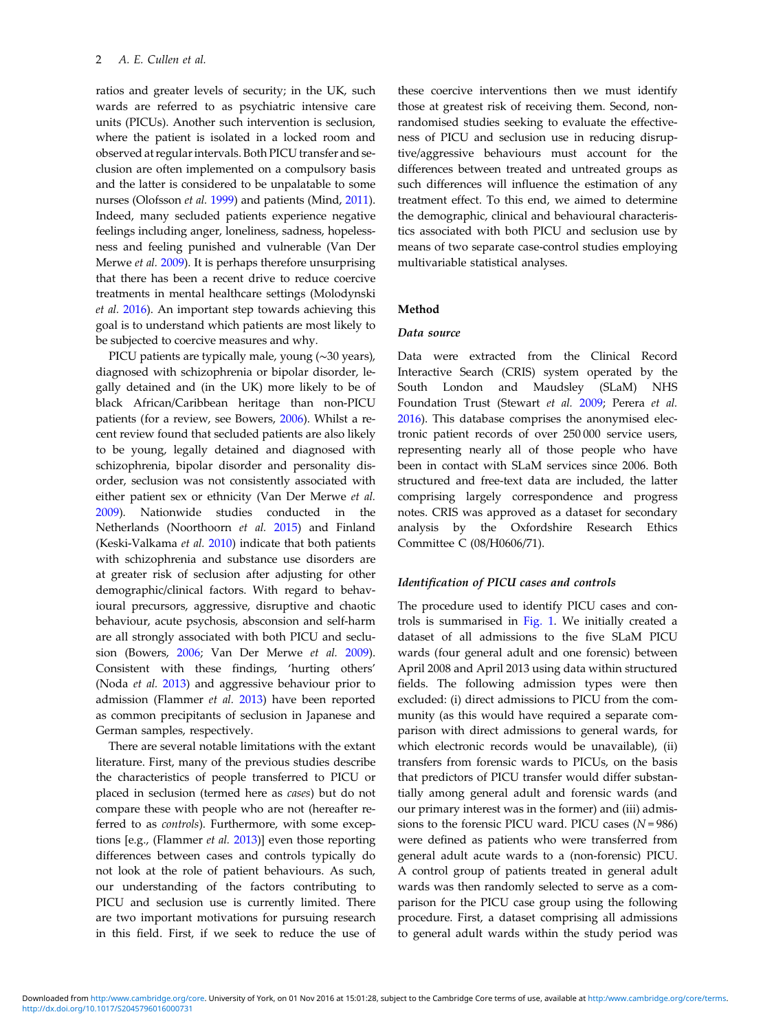ratios and greater levels of security; in the UK, such wards are referred to as psychiatric intensive care units (PICUs). Another such intervention is seclusion, where the patient is isolated in a locked room and observed at regular intervals. Both PICU transfer and seclusion are often implemented on a compulsory basis and the latter is considered to be unpalatable to some nurses (Olofsson *et al.* 1999) and patients (Mind, 2011). Indeed, many secluded patients experience negative feelings including anger, loneliness, sadness, hopelessness and feeling punished and vulnerable (Van Der Merwe *et al.* 2009). It is perhaps therefore unsurprising that there has been a recent drive to reduce coercive treatments in mental healthcare settings (Molodynski *et al.* 2016). An important step towards achieving this goal is to understand which patients are most likely to be subjected to coercive measures and why.

PICU patients are typically male, young (∼30 years), diagnosed with schizophrenia or bipolar disorder, legally detained and (in the UK) more likely to be of black African/Caribbean heritage than non-PICU patients (for a review, see Bowers, 2006). Whilst a recent review found that secluded patients are also likely to be young, legally detained and diagnosed with schizophrenia, bipolar disorder and personality disorder, seclusion was not consistently associated with either patient sex or ethnicity (Van Der Merwe *et al.* 2009). Nationwide studies conducted in the Netherlands (Noorthoorn *et al.* 2015) and Finland (Keski-Valkama *et al.* 2010) indicate that both patients with schizophrenia and substance use disorders are at greater risk of seclusion after adjusting for other demographic/clinical factors. With regard to behavioural precursors, aggressive, disruptive and chaotic behaviour, acute psychosis, absconsion and self-harm are all strongly associated with both PICU and seclusion (Bowers, 2006; Van Der Merwe *et al.* 2009). Consistent with these findings, 'hurting others' (Noda *et al.* 2013) and aggressive behaviour prior to admission (Flammer *et al.* 2013) have been reported as common precipitants of seclusion in Japanese and German samples, respectively.

There are several notable limitations with the extant literature. First, many of the previous studies describe the characteristics of people transferred to PICU or placed in seclusion (termed here as *cases*) but do not compare these with people who are not (hereafter referred to as *controls*). Furthermore, with some exceptions [e.g., (Flammer *et al.* 2013)] even those reporting differences between cases and controls typically do not look at the role of patient behaviours. As such, our understanding of the factors contributing to PICU and seclusion use is currently limited. There are two important motivations for pursuing research in this field. First, if we seek to reduce the use of

these coercive interventions then we must identify those at greatest risk of receiving them. Second, nonrandomised studies seeking to evaluate the effectiveness of PICU and seclusion use in reducing disruptive/aggressive behaviours must account for the differences between treated and untreated groups as such differences will influence the estimation of any treatment effect. To this end, we aimed to determine the demographic, clinical and behavioural characteristics associated with both PICU and seclusion use by means of two separate case-control studies employing multivariable statistical analyses.

### Method

### Data source

Data were extracted from the Clinical Record Interactive Search (CRIS) system operated by the South London and Maudsley (SLaM) NHS Foundation Trust (Stewart *et al.* 2009; Perera *et al.* 2016). This database comprises the anonymised electronic patient records of over 250 000 service users, representing nearly all of those people who have been in contact with SLaM services since 2006. Both structured and free-text data are included, the latter comprising largely correspondence and progress notes. CRIS was approved as a dataset for secondary analysis by the Oxfordshire Research Ethics Committee C (08/H0606/71).

### Identification of PICU cases and controls

The procedure used to identify PICU cases and controls is summarised in Fig. 1. We initially created a dataset of all admissions to the five SLaM PICU wards (four general adult and one forensic) between April 2008 and April 2013 using data within structured fields. The following admission types were then excluded: (i) direct admissions to PICU from the community (as this would have required a separate comparison with direct admissions to general wards, for which electronic records would be unavailable), (ii) transfers from forensic wards to PICUs, on the basis that predictors of PICU transfer would differ substantially among general adult and forensic wards (and our primary interest was in the former) and (iii) admissions to the forensic PICU ward. PICU cases (*N* = 986) were defined as patients who were transferred from general adult acute wards to a (non-forensic) PICU. A control group of patients treated in general adult wards was then randomly selected to serve as a comparison for the PICU case group using the following procedure. First, a dataset comprising all admissions to general adult wards within the study period was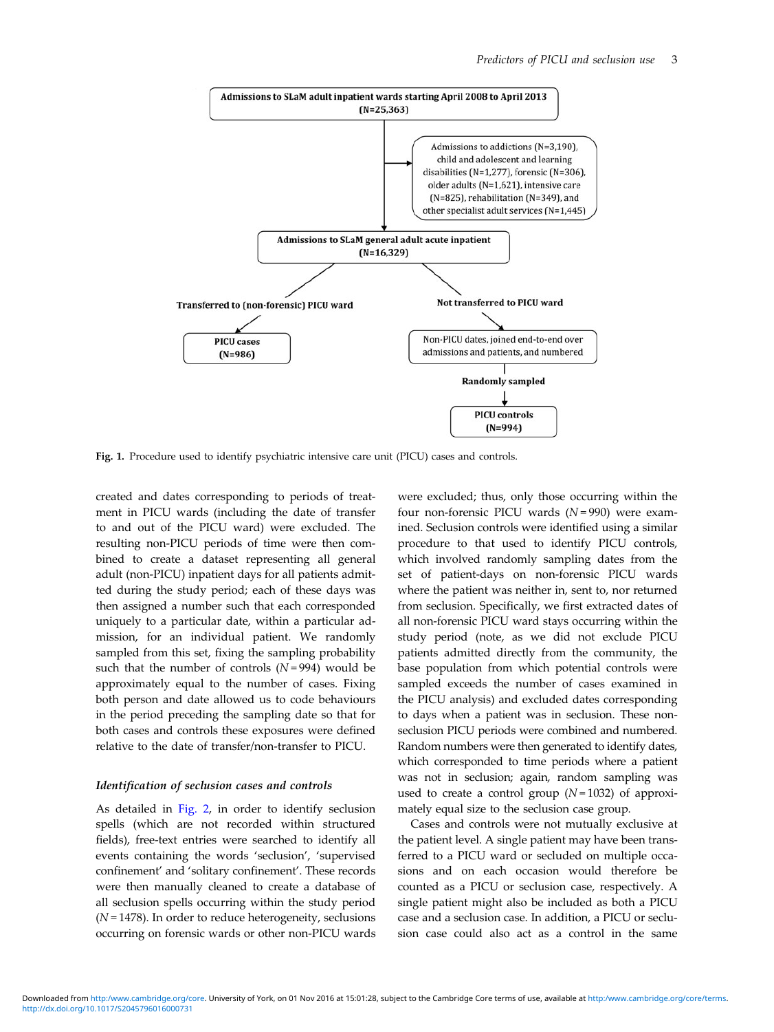

Fig. 1. Procedure used to identify psychiatric intensive care unit (PICU) cases and controls.

created and dates corresponding to periods of treatment in PICU wards (including the date of transfer to and out of the PICU ward) were excluded. The resulting non-PICU periods of time were then combined to create a dataset representing all general adult (non-PICU) inpatient days for all patients admitted during the study period; each of these days was then assigned a number such that each corresponded uniquely to a particular date, within a particular admission, for an individual patient. We randomly sampled from this set, fixing the sampling probability such that the number of controls  $(N=994)$  would be approximately equal to the number of cases. Fixing both person and date allowed us to code behaviours in the period preceding the sampling date so that for both cases and controls these exposures were defined relative to the date of transfer/non-transfer to PICU.

#### Identification of seclusion cases and controls

As detailed in Fig. 2, in order to identify seclusion spells (which are not recorded within structured fields), free-text entries were searched to identify all events containing the words 'seclusion', 'supervised confinement' and 'solitary confinement'. These records were then manually cleaned to create a database of all seclusion spells occurring within the study period (*N* = 1478). In order to reduce heterogeneity, seclusions occurring on forensic wards or other non-PICU wards were excluded; thus, only those occurring within the four non-forensic PICU wards (*N* = 990) were examined. Seclusion controls were identified using a similar procedure to that used to identify PICU controls, which involved randomly sampling dates from the set of patient-days on non-forensic PICU wards where the patient was neither in, sent to, nor returned from seclusion. Specifically, we first extracted dates of all non-forensic PICU ward stays occurring within the study period (note, as we did not exclude PICU patients admitted directly from the community, the base population from which potential controls were sampled exceeds the number of cases examined in the PICU analysis) and excluded dates corresponding to days when a patient was in seclusion. These nonseclusion PICU periods were combined and numbered. Random numbers were then generated to identify dates, which corresponded to time periods where a patient was not in seclusion; again, random sampling was used to create a control group (*N* = 1032) of approximately equal size to the seclusion case group.

Cases and controls were not mutually exclusive at the patient level. A single patient may have been transferred to a PICU ward or secluded on multiple occasions and on each occasion would therefore be counted as a PICU or seclusion case, respectively. A single patient might also be included as both a PICU case and a seclusion case. In addition, a PICU or seclusion case could also act as a control in the same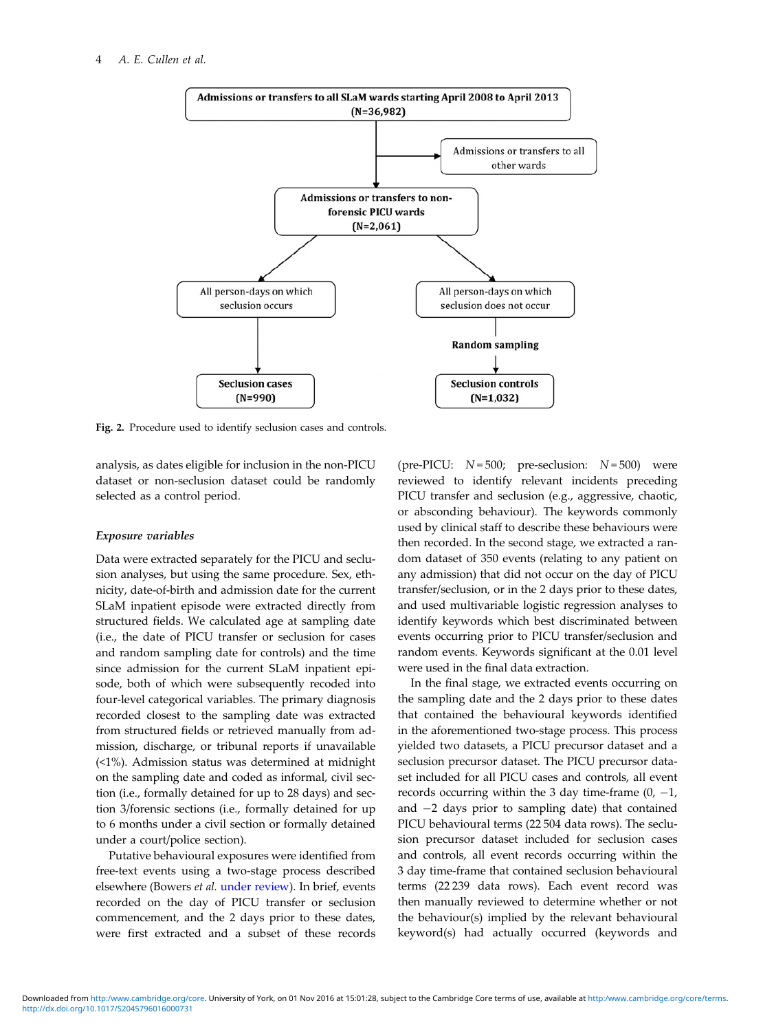

Fig. 2. Procedure used to identify seclusion cases and controls.

analysis, as dates eligible for inclusion in the non-PICU dataset or non-seclusion dataset could be randomly selected as a control period.

#### Exposure variables

Data were extracted separately for the PICU and seclusion analyses, but using the same procedure. Sex, ethnicity, date-of-birth and admission date for the current SLaM inpatient episode were extracted directly from structured fields. We calculated age at sampling date (i.e., the date of PICU transfer or seclusion for cases and random sampling date for controls) and the time since admission for the current SLaM inpatient episode, both of which were subsequently recoded into four-level categorical variables. The primary diagnosis recorded closest to the sampling date was extracted from structured fields or retrieved manually from admission, discharge, or tribunal reports if unavailable (<1%). Admission status was determined at midnight on the sampling date and coded as informal, civil section (i.e., formally detained for up to 28 days) and section 3/forensic sections (i.e., formally detained for up to 6 months under a civil section or formally detained under a court/police section).

Putative behavioural exposures were identified from free-text events using a two-stage process described elsewhere (Bowers *et al.* under review). In brief, events recorded on the day of PICU transfer or seclusion commencement, and the 2 days prior to these dates, were first extracted and a subset of these records

(pre-PICU:  $N = 500$ ; pre-seclusion:  $N = 500$ ) were reviewed to identify relevant incidents preceding PICU transfer and seclusion (e.g., aggressive, chaotic, or absconding behaviour). The keywords commonly used by clinical staff to describe these behaviours were then recorded. In the second stage, we extracted a random dataset of 350 events (relating to any patient on any admission) that did not occur on the day of PICU transfer/seclusion, or in the 2 days prior to these dates, and used multivariable logistic regression analyses to identify keywords which best discriminated between events occurring prior to PICU transfer/seclusion and random events. Keywords significant at the 0.01 level were used in the final data extraction.

In the final stage, we extracted events occurring on the sampling date and the 2 days prior to these dates that contained the behavioural keywords identified in the aforementioned two-stage process. This process yielded two datasets, a PICU precursor dataset and a seclusion precursor dataset. The PICU precursor dataset included for all PICU cases and controls, all event records occurring within the 3 day time-frame  $(0, -1,$ and −2 days prior to sampling date) that contained PICU behavioural terms (22 504 data rows). The seclusion precursor dataset included for seclusion cases and controls, all event records occurring within the 3 day time-frame that contained seclusion behavioural terms (22 239 data rows). Each event record was then manually reviewed to determine whether or not the behaviour(s) implied by the relevant behavioural keyword(s) had actually occurred (keywords and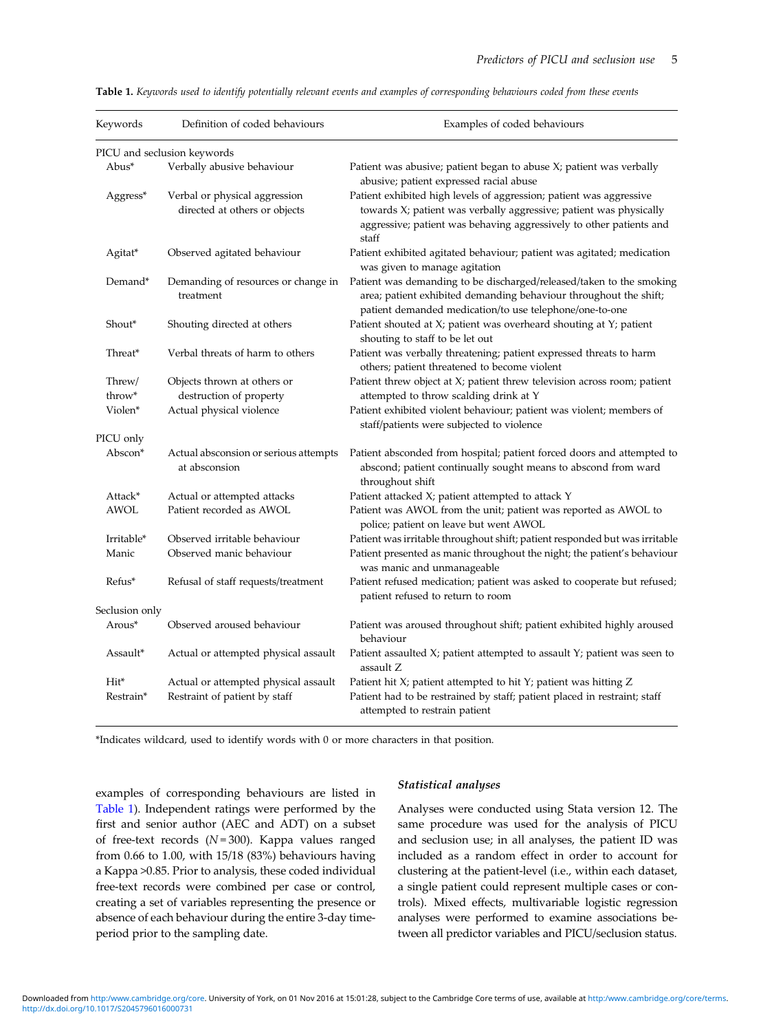| Keywords         | Definition of coded behaviours                                 | Examples of coded behaviours                                                                                                                                                                                              |
|------------------|----------------------------------------------------------------|---------------------------------------------------------------------------------------------------------------------------------------------------------------------------------------------------------------------------|
|                  | PICU and seclusion keywords                                    |                                                                                                                                                                                                                           |
| Abus*            | Verbally abusive behaviour                                     | Patient was abusive; patient began to abuse $X$ ; patient was verbally<br>abusive; patient expressed racial abuse                                                                                                         |
| Aggress*         | Verbal or physical aggression<br>directed at others or objects | Patient exhibited high levels of aggression; patient was aggressive<br>towards X; patient was verbally aggressive; patient was physically<br>aggressive; patient was behaving aggressively to other patients and<br>staff |
| Agitat*          | Observed agitated behaviour                                    | Patient exhibited agitated behaviour; patient was agitated; medication<br>was given to manage agitation                                                                                                                   |
| Demand*          | Demanding of resources or change in<br>treatment               | Patient was demanding to be discharged/released/taken to the smoking<br>area; patient exhibited demanding behaviour throughout the shift;<br>patient demanded medication/to use telephone/one-to-one                      |
| Shout*           | Shouting directed at others                                    | Patient shouted at X; patient was overheard shouting at Y; patient<br>shouting to staff to be let out                                                                                                                     |
| Threat*          | Verbal threats of harm to others                               | Patient was verbally threatening; patient expressed threats to harm<br>others; patient threatened to become violent                                                                                                       |
| Threw/<br>throw* | Objects thrown at others or<br>destruction of property         | Patient threw object at X; patient threw television across room; patient<br>attempted to throw scalding drink at Y                                                                                                        |
| Violen*          | Actual physical violence                                       | Patient exhibited violent behaviour; patient was violent; members of<br>staff/patients were subjected to violence                                                                                                         |
| PICU only        |                                                                |                                                                                                                                                                                                                           |
| Abscon*          | Actual absconsion or serious attempts<br>at absconsion         | Patient absconded from hospital; patient forced doors and attempted to<br>abscond; patient continually sought means to abscond from ward<br>throughout shift                                                              |
| Attack*          | Actual or attempted attacks                                    | Patient attacked X; patient attempted to attack Y                                                                                                                                                                         |
| AWOL             | Patient recorded as AWOL                                       | Patient was AWOL from the unit; patient was reported as AWOL to<br>police; patient on leave but went AWOL                                                                                                                 |
| Irritable*       | Observed irritable behaviour                                   | Patient was irritable throughout shift; patient responded but was irritable                                                                                                                                               |
| Manic            | Observed manic behaviour                                       | Patient presented as manic throughout the night; the patient's behaviour<br>was manic and unmanageable                                                                                                                    |
| Refus*           | Refusal of staff requests/treatment                            | Patient refused medication; patient was asked to cooperate but refused;<br>patient refused to return to room                                                                                                              |
| Seclusion only   |                                                                |                                                                                                                                                                                                                           |
| Arous*           | Observed aroused behaviour                                     | Patient was aroused throughout shift; patient exhibited highly aroused<br>behaviour                                                                                                                                       |
| Assault*         | Actual or attempted physical assault                           | Patient assaulted X; patient attempted to assault Y; patient was seen to<br>assault Z                                                                                                                                     |
| Hit <sup>*</sup> | Actual or attempted physical assault                           | Patient hit X; patient attempted to hit Y; patient was hitting Z                                                                                                                                                          |
| Restrain*        | Restraint of patient by staff                                  | Patient had to be restrained by staff; patient placed in restraint; staff<br>attempted to restrain patient                                                                                                                |

Table 1. *Keywords used to identify potentially relevant events and examples of corresponding behaviours coded from these events*

\*Indicates wildcard, used to identify words with 0 or more characters in that position.

examples of corresponding behaviours are listed in Table 1). Independent ratings were performed by the first and senior author (AEC and ADT) on a subset of free-text records (*N* = 300). Kappa values ranged from 0.66 to 1.00, with 15/18 (83%) behaviours having a Kappa >0.85. Prior to analysis, these coded individual free-text records were combined per case or control, creating a set of variables representing the presence or absence of each behaviour during the entire 3-day timeperiod prior to the sampling date.

## Statistical analyses

Analyses were conducted using Stata version 12. The same procedure was used for the analysis of PICU and seclusion use; in all analyses, the patient ID was included as a random effect in order to account for clustering at the patient-level (i.e., within each dataset, a single patient could represent multiple cases or controls). Mixed effects, multivariable logistic regression analyses were performed to examine associations between all predictor variables and PICU/seclusion status.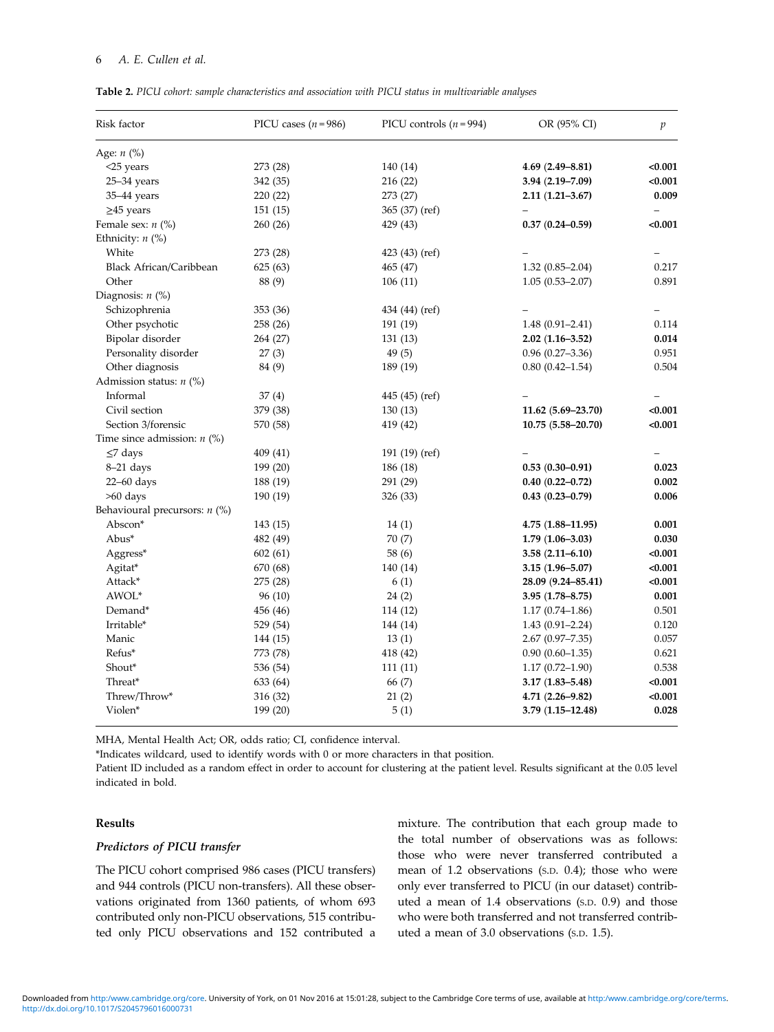# 6 *A. E. Cullen et al.*

| <b>Table 2.</b> PICU cohort: sample characteristics and association with PICU status in multivariable analyses |  |
|----------------------------------------------------------------------------------------------------------------|--|
|----------------------------------------------------------------------------------------------------------------|--|

| Risk factor                     | PICU cases $(n=986)$ | PICU controls $(n = 994)$ | OR (95% CI)           | $\boldsymbol{p}$ |
|---------------------------------|----------------------|---------------------------|-----------------------|------------------|
| Age: $n$ (%)                    |                      |                           |                       |                  |
| $<$ 25 years                    | 273 (28)             | 140 (14)                  | $4.69(2.49 - 8.81)$   | < 0.001          |
| $25 - 34$ years                 | 342 (35)             | 216 (22)                  | 3.94 (2.19-7.09)      | < 0.001          |
| 35-44 years                     | 220 (22)             | 273 (27)                  | $2.11(1.21 - 3.67)$   | 0.009            |
| $\geq$ 45 years                 | 151(15)              | 365 (37) (ref)            |                       |                  |
| Female sex: $n$ (%)             | 260 (26)             | 429 (43)                  | $0.37(0.24 - 0.59)$   | < 0.001          |
| Ethnicity: $n$ (%)              |                      |                           |                       |                  |
| White                           | 273 (28)             | 423 (43) (ref)            |                       |                  |
| <b>Black African/Caribbean</b>  | 625 (63)             | 465 (47)                  | $1.32(0.85 - 2.04)$   | 0.217            |
| Other                           | 88 (9)               | 106(11)                   | $1.05(0.53 - 2.07)$   | 0.891            |
| Diagnosis: $n$ (%)              |                      |                           |                       |                  |
| Schizophrenia                   | 353 (36)             | 434 (44) (ref)            |                       |                  |
| Other psychotic                 | 258 (26)             | 191 (19)                  | $1.48(0.91 - 2.41)$   | 0.114            |
| Bipolar disorder                | 264 (27)             | 131(13)                   | $2.02(1.16 - 3.52)$   | 0.014            |
| Personality disorder            | 27(3)                | 49(5)                     | $0.96(0.27 - 3.36)$   | 0.951            |
| Other diagnosis                 | 84 (9)               | 189 (19)                  | $0.80(0.42 - 1.54)$   | 0.504            |
| Admission status: $n$ (%)       |                      |                           |                       |                  |
| Informal                        | 37(4)                | 445 (45) (ref)            |                       |                  |
| Civil section                   | 379 (38)             | 130(13)                   | $11.62(5.69 - 23.70)$ | < 0.001          |
| Section 3/forensic              | 570 (58)             | 419 (42)                  | 10.75 (5.58-20.70)    | < 0.001          |
| Time since admission: $n$ (%)   |                      |                           |                       |                  |
| $\leq$ 7 days                   | 409 (41)             | 191 (19) (ref)            |                       |                  |
| 8-21 days                       | 199 (20)             | 186 (18)                  | $0.53(0.30-0.91)$     | 0.023            |
| $22-60$ days                    | 188 (19)             | 291 (29)                  | $0.40(0.22 - 0.72)$   | 0.002            |
| >60 days                        | 190 (19)             | 326 (33)                  | $0.43(0.23 - 0.79)$   | 0.006            |
| Behavioural precursors: $n$ (%) |                      |                           |                       |                  |
| Abscon*                         | 143 (15)             | 14(1)                     | $4.75(1.88 - 11.95)$  | 0.001            |
| Abus*                           | 482 (49)             | 70(7)                     | $1.79(1.06 - 3.03)$   | 0.030            |
| Aggress*                        | 602(61)              | 58 (6)                    | $3.58(2.11 - 6.10)$   | < 0.001          |
| Agitat*                         | 670 (68)             | 140 (14)                  | $3.15(1.96 - 5.07)$   | < 0.001          |
| Attack*                         | 275 (28)             | 6(1)                      | 28.09 (9.24-85.41)    | < 0.001          |
| AWOL*                           | 96(10)               | 24(2)                     | $3.95(1.78 - 8.75)$   | 0.001            |
| Demand*                         | 456 (46)             | 114 (12)                  | $1.17(0.74 - 1.86)$   | 0.501            |
| Irritable*                      | 529 (54)             | 144 (14)                  | $1.43(0.91 - 2.24)$   | 0.120            |
| Manic                           | 144 (15)             | 13(1)                     | $2.67(0.97 - 7.35)$   | 0.057            |
| Refus*                          | 773 (78)             | 418 (42)                  | $0.90(0.60-1.35)$     | 0.621            |
| Shout*                          | 536 (54)             | 111(11)                   | $1.17(0.72 - 1.90)$   | 0.538            |
| Threat*                         | 633 (64)             | 66 (7)                    | $3.17(1.83 - 5.48)$   | < 0.001          |
| Threw/Throw*                    | 316 (32)             | 21(2)                     | $4.71(2.26 - 9.82)$   | < 0.001          |
| Violen*                         | 199 (20)             | 5(1)                      | $3.79(1.15 - 12.48)$  | 0.028            |
|                                 |                      |                           |                       |                  |

MHA, Mental Health Act; OR, odds ratio; CI, confidence interval.

\*Indicates wildcard, used to identify words with 0 or more characters in that position.

Patient ID included as a random effect in order to account for clustering at the patient level. Results significant at the 0.05 level indicated in bold.

# Results

# Predictors of PICU transfer

The PICU cohort comprised 986 cases (PICU transfers) and 944 controls (PICU non-transfers). All these observations originated from 1360 patients, of whom 693 contributed only non-PICU observations, 515 contributed only PICU observations and 152 contributed a mixture. The contribution that each group made to the total number of observations was as follows: those who were never transferred contributed a mean of 1.2 observations (S.D. 0.4); those who were only ever transferred to PICU (in our dataset) contributed a mean of 1.4 observations (S.D. 0.9) and those who were both transferred and not transferred contributed a mean of 3.0 observations (S.D. 1.5).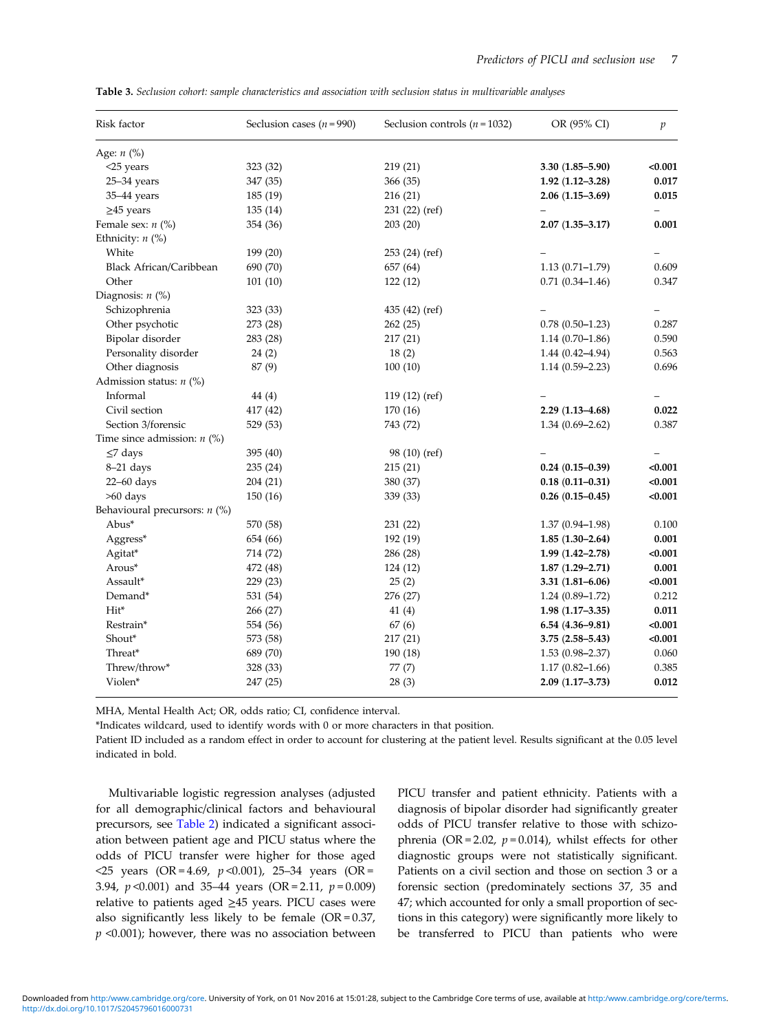| Risk factor                     | Seclusion cases $(n = 990)$ | Seclusion controls ( $n = 1032$ ) | OR (95% CI)         | $\mathfrak{p}$ |
|---------------------------------|-----------------------------|-----------------------------------|---------------------|----------------|
| Age: $n$ (%)                    |                             |                                   |                     |                |
| $<$ 25 years                    | 323 (32)                    | 219 (21)                          | $3.30(1.85 - 5.90)$ | < 0.001        |
| $25 - 34$ years                 | 347 (35)                    | 366 (35)                          | $1.92(1.12 - 3.28)$ | 0.017          |
| 35-44 years                     | 185(19)                     | 216(21)                           | $2.06(1.15-3.69)$   | 0.015          |
| $\geq$ 45 years                 | 135(14)                     | 231 (22) (ref)                    |                     |                |
| Female sex: $n$ (%)             | 354 (36)                    | 203(20)                           | $2.07(1.35 - 3.17)$ | 0.001          |
| Ethnicity: $n$ (%)              |                             |                                   |                     |                |
| White                           | 199 (20)                    | 253(24)(ref)                      |                     |                |
| <b>Black African/Caribbean</b>  | 690 (70)                    | 657 (64)                          | $1.13(0.71 - 1.79)$ | 0.609          |
| Other                           | 101(10)                     | 122(12)                           | $0.71(0.34 - 1.46)$ | 0.347          |
| Diagnosis: $n$ (%)              |                             |                                   |                     |                |
| Schizophrenia                   | 323 (33)                    | 435 (42) (ref)                    |                     |                |
| Other psychotic                 | 273 (28)                    | 262(25)                           | $0.78(0.50-1.23)$   | 0.287          |
| Bipolar disorder                | 283 (28)                    | 217(21)                           | $1.14(0.70-1.86)$   | 0.590          |
| Personality disorder            | 24(2)                       | 18(2)                             | $1.44(0.42 - 4.94)$ | 0.563          |
| Other diagnosis                 | 87 (9)                      | 100(10)                           | $1.14(0.59 - 2.23)$ | 0.696          |
| Admission status: $n$ (%)       |                             |                                   |                     |                |
| Informal                        | 44(4)                       | 119 (12) (ref)                    |                     |                |
| Civil section                   | 417 (42)                    | 170 (16)                          | $2.29(1.13 - 4.68)$ | 0.022          |
| Section 3/forensic              | 529 (53)                    | 743 (72)                          | $1.34(0.69 - 2.62)$ | 0.387          |
| Time since admission: $n$ (%)   |                             |                                   |                     |                |
| $\leq$ 7 days                   | 395 (40)                    | 98 (10) (ref)                     |                     |                |
| $8-21$ days                     | 235 (24)                    | 215(21)                           | $0.24(0.15-0.39)$   | < 0.001        |
| $22-60$ days                    | 204 (21)                    | 380 (37)                          | $0.18(0.11 - 0.31)$ | < 0.001        |
| $>60$ days                      | 150(16)                     | 339 (33)                          | $0.26(0.15-0.45)$   | < 0.001        |
| Behavioural precursors: $n$ (%) |                             |                                   |                     |                |
| Abus*                           | 570 (58)                    | 231 (22)                          | $1.37(0.94 - 1.98)$ | 0.100          |
| Aggress*                        | 654 (66)                    | 192 (19)                          | $1.85(1.30-2.64)$   | 0.001          |
| Agitat*                         | 714 (72)                    | 286 (28)                          | $1.99(1.42 - 2.78)$ | < 0.001        |
| Arous*                          | 472 (48)                    | 124 (12)                          | $1.87(1.29 - 2.71)$ | 0.001          |
| Assault*                        | 229 (23)                    | 25(2)                             | $3.31(1.81 - 6.06)$ | < 0.001        |
| Demand*                         | 531 (54)                    | 276 (27)                          | $1.24(0.89 - 1.72)$ | 0.212          |
| Hit*                            | 266 (27)                    | 41(4)                             | $1.98(1.17-3.35)$   | 0.011          |
| Restrain*                       | 554 (56)                    | 67 (6)                            | $6.54(4.36 - 9.81)$ | < 0.001        |
| Shout*                          | 573 (58)                    | 217(21)                           | $3.75(2.58 - 5.43)$ | < 0.001        |
| Threat*                         | 689 (70)                    | 190 (18)                          | $1.53(0.98 - 2.37)$ | 0.060          |
| Threw/throw*                    | 328 (33)                    | 77(7)                             | $1.17(0.82 - 1.66)$ | 0.385          |
| Violen*                         | 247 (25)                    | 28(3)                             | $2.09(1.17 - 3.73)$ | 0.012          |
|                                 |                             |                                   |                     |                |

Table 3. *Seclusion cohort: sample characteristics and association with seclusion status in multivariable analyses*

MHA, Mental Health Act; OR, odds ratio; CI, confidence interval.

\*Indicates wildcard, used to identify words with 0 or more characters in that position.

Patient ID included as a random effect in order to account for clustering at the patient level. Results significant at the 0.05 level indicated in bold.

Multivariable logistic regression analyses (adjusted for all demographic/clinical factors and behavioural precursors, see Table 2) indicated a significant association between patient age and PICU status where the odds of PICU transfer were higher for those aged  $\langle$ 25 years (OR = 4.69, *p* < 0.001), 25–34 years (OR = 3.94, *p* <0.001) and 35–44 years (OR = 2.11, *p* = 0.009) relative to patients aged ≥45 years. PICU cases were also significantly less likely to be female  $(OR = 0.37)$ , *p* <0.001); however, there was no association between PICU transfer and patient ethnicity. Patients with a diagnosis of bipolar disorder had significantly greater odds of PICU transfer relative to those with schizophrenia (OR = 2.02,  $p = 0.014$ ), whilst effects for other diagnostic groups were not statistically significant. Patients on a civil section and those on section 3 or a forensic section (predominately sections 37, 35 and 47; which accounted for only a small proportion of sections in this category) were significantly more likely to be transferred to PICU than patients who were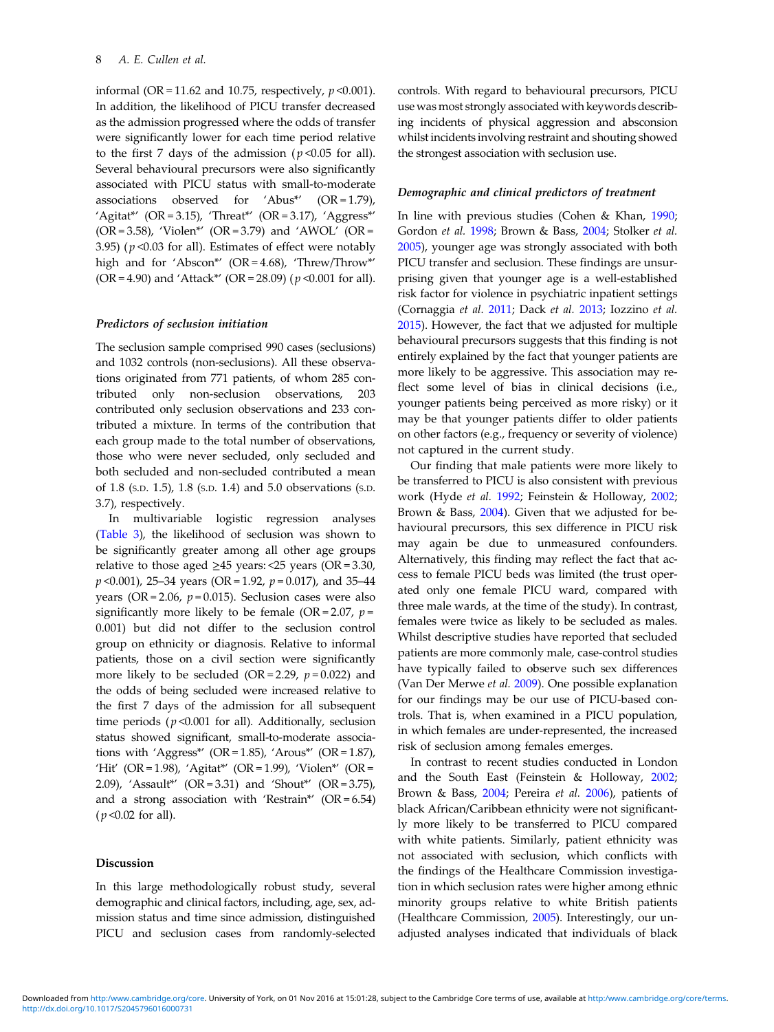informal (OR = 11.62 and 10.75, respectively, *p* <0.001). In addition, the likelihood of PICU transfer decreased as the admission progressed where the odds of transfer were significantly lower for each time period relative to the first 7 days of the admission ( $p < 0.05$  for all). Several behavioural precursors were also significantly associated with PICU status with small-to-moderate associations observed for 'Abus\*' (OR = 1.79), 'Agitat\*'  $(OR = 3.15)$ , 'Threat\*'  $(OR = 3.17)$ , 'Aggress\*'  $(OR = 3.58)$ , 'Violen\*'  $(OR = 3.79)$  and 'AWOL'  $(OR = 1.58)$ 3.95) ( $p$  <0.03 for all). Estimates of effect were notably high and for 'Abscon\*' (OR = 4.68), 'Threw/Throw\*' (OR = 4.90) and 'Attack\*' (OR = 28.09) ( *p* <0.001 for all).

# Predictors of seclusion initiation

The seclusion sample comprised 990 cases (seclusions) and 1032 controls (non-seclusions). All these observations originated from 771 patients, of whom 285 contributed only non-seclusion observations, 203 contributed only seclusion observations and 233 contributed a mixture. In terms of the contribution that each group made to the total number of observations, those who were never secluded, only secluded and both secluded and non-secluded contributed a mean of 1.8 (S.D. 1.5), 1.8 (S.D. 1.4) and 5.0 observations (S.D. 3.7), respectively.

In multivariable logistic regression analyses (Table 3), the likelihood of seclusion was shown to be significantly greater among all other age groups relative to those aged  $\geq$ 45 years: <25 years (OR = 3.30, *p* <0.001), 25–34 years (OR = 1.92, *p* = 0.017), and 35–44 years ( $OR = 2.06$ ,  $p = 0.015$ ). Seclusion cases were also significantly more likely to be female  $(OR = 2.07, p =$ 0.001) but did not differ to the seclusion control group on ethnicity or diagnosis. Relative to informal patients, those on a civil section were significantly more likely to be secluded (OR = 2.29,  $p = 0.022$ ) and the odds of being secluded were increased relative to the first 7 days of the admission for all subsequent time periods ( $p$ <0.001 for all). Additionally, seclusion status showed significant, small-to-moderate associations with 'Aggress\*' (OR = 1.85), 'Arous\*' (OR = 1.87), 'Hit' (OR = 1.98), 'Agitat\*' (OR = 1.99), 'Violen\*' (OR = 2.09), 'Assault\*' (OR = 3.31) and 'Shout\*' (OR = 3.75), and a strong association with 'Restrain\*'  $(OR = 6.54)$  $(p<0.02$  for all).

# Discussion

In this large methodologically robust study, several demographic and clinical factors, including, age, sex, admission status and time since admission, distinguished PICU and seclusion cases from randomly-selected controls. With regard to behavioural precursors, PICU use was most strongly associated with keywords describing incidents of physical aggression and absconsion whilst incidents involving restraint and shouting showed the strongest association with seclusion use.

#### Demographic and clinical predictors of treatment

In line with previous studies (Cohen & Khan, 1990; Gordon *et al.* 1998; Brown & Bass, 2004; Stolker *et al.* 2005), younger age was strongly associated with both PICU transfer and seclusion. These findings are unsurprising given that younger age is a well-established risk factor for violence in psychiatric inpatient settings (Cornaggia *et al.* 2011; Dack *et al.* 2013; Iozzino *et al.* 2015). However, the fact that we adjusted for multiple behavioural precursors suggests that this finding is not entirely explained by the fact that younger patients are more likely to be aggressive. This association may reflect some level of bias in clinical decisions (i.e., younger patients being perceived as more risky) or it may be that younger patients differ to older patients on other factors (e.g., frequency or severity of violence) not captured in the current study.

Our finding that male patients were more likely to be transferred to PICU is also consistent with previous work (Hyde *et al.* 1992; Feinstein & Holloway, 2002; Brown & Bass, 2004). Given that we adjusted for behavioural precursors, this sex difference in PICU risk may again be due to unmeasured confounders. Alternatively, this finding may reflect the fact that access to female PICU beds was limited (the trust operated only one female PICU ward, compared with three male wards, at the time of the study). In contrast, females were twice as likely to be secluded as males. Whilst descriptive studies have reported that secluded patients are more commonly male, case-control studies have typically failed to observe such sex differences (Van Der Merwe *et al.* 2009). One possible explanation for our findings may be our use of PICU-based controls. That is, when examined in a PICU population, in which females are under-represented, the increased risk of seclusion among females emerges.

In contrast to recent studies conducted in London and the South East (Feinstein & Holloway, 2002; Brown & Bass, 2004; Pereira *et al.* 2006), patients of black African/Caribbean ethnicity were not significantly more likely to be transferred to PICU compared with white patients. Similarly, patient ethnicity was not associated with seclusion, which conflicts with the findings of the Healthcare Commission investigation in which seclusion rates were higher among ethnic minority groups relative to white British patients (Healthcare Commission, 2005). Interestingly, our unadjusted analyses indicated that individuals of black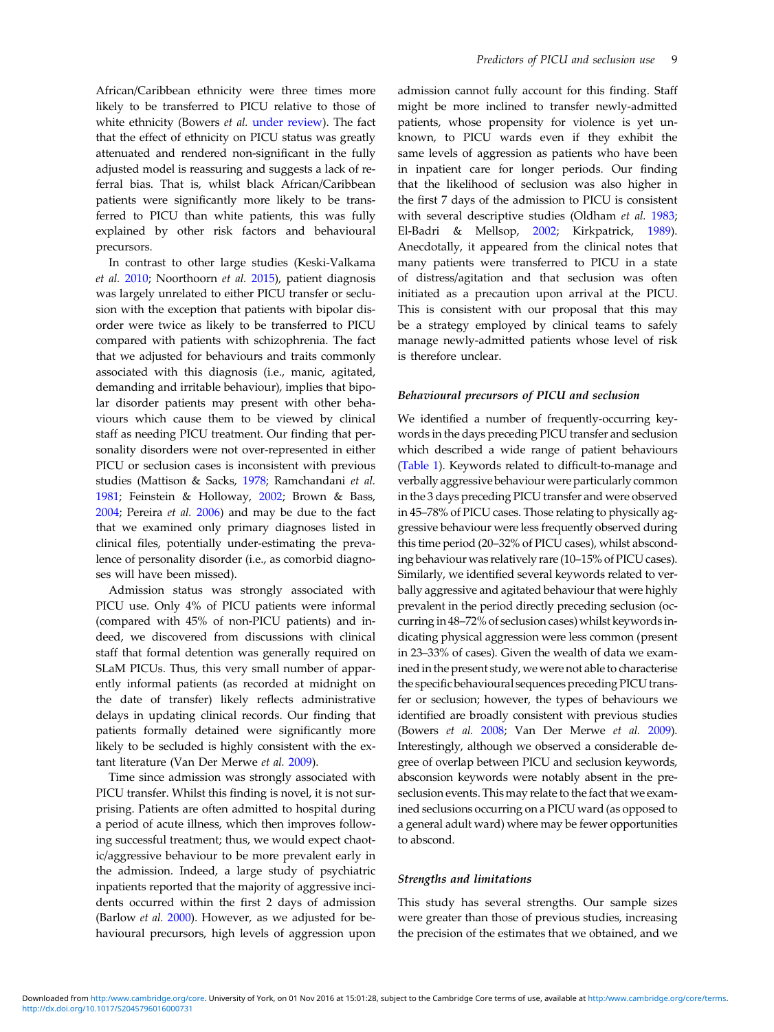African/Caribbean ethnicity were three times more likely to be transferred to PICU relative to those of white ethnicity (Bowers *et al.* under review). The fact that the effect of ethnicity on PICU status was greatly attenuated and rendered non-significant in the fully adjusted model is reassuring and suggests a lack of referral bias. That is, whilst black African/Caribbean patients were significantly more likely to be transferred to PICU than white patients, this was fully explained by other risk factors and behavioural precursors.

In contrast to other large studies (Keski-Valkama *et al.* 2010; Noorthoorn *et al.* 2015), patient diagnosis was largely unrelated to either PICU transfer or seclusion with the exception that patients with bipolar disorder were twice as likely to be transferred to PICU compared with patients with schizophrenia. The fact that we adjusted for behaviours and traits commonly associated with this diagnosis (i.e., manic, agitated, demanding and irritable behaviour), implies that bipolar disorder patients may present with other behaviours which cause them to be viewed by clinical staff as needing PICU treatment. Our finding that personality disorders were not over-represented in either PICU or seclusion cases is inconsistent with previous studies (Mattison & Sacks, 1978; Ramchandani *et al.* 1981; Feinstein & Holloway, 2002; Brown & Bass, 2004; Pereira *et al.* 2006) and may be due to the fact that we examined only primary diagnoses listed in clinical files, potentially under-estimating the prevalence of personality disorder (i.e., as comorbid diagnoses will have been missed).

Admission status was strongly associated with PICU use. Only 4% of PICU patients were informal (compared with 45% of non-PICU patients) and indeed, we discovered from discussions with clinical staff that formal detention was generally required on SLaM PICUs. Thus, this very small number of apparently informal patients (as recorded at midnight on the date of transfer) likely reflects administrative delays in updating clinical records. Our finding that patients formally detained were significantly more likely to be secluded is highly consistent with the extant literature (Van Der Merwe *et al.* 2009).

Time since admission was strongly associated with PICU transfer. Whilst this finding is novel, it is not surprising. Patients are often admitted to hospital during a period of acute illness, which then improves following successful treatment; thus, we would expect chaotic/aggressive behaviour to be more prevalent early in the admission. Indeed, a large study of psychiatric inpatients reported that the majority of aggressive incidents occurred within the first 2 days of admission (Barlow *et al.* 2000). However, as we adjusted for behavioural precursors, high levels of aggression upon

admission cannot fully account for this finding. Staff might be more inclined to transfer newly-admitted patients, whose propensity for violence is yet unknown, to PICU wards even if they exhibit the same levels of aggression as patients who have been in inpatient care for longer periods. Our finding that the likelihood of seclusion was also higher in the first 7 days of the admission to PICU is consistent with several descriptive studies (Oldham *et al.* 1983; El-Badri & Mellsop, 2002; Kirkpatrick, 1989). Anecdotally, it appeared from the clinical notes that many patients were transferred to PICU in a state of distress/agitation and that seclusion was often initiated as a precaution upon arrival at the PICU. This is consistent with our proposal that this may be a strategy employed by clinical teams to safely manage newly-admitted patients whose level of risk is therefore unclear.

# Behavioural precursors of PICU and seclusion

We identified a number of frequently-occurring keywords in the days preceding PICU transfer and seclusion which described a wide range of patient behaviours (Table 1). Keywords related to difficult-to-manage and verbally aggressive behaviour were particularly common in the 3 days preceding PICU transfer and were observed in 45–78% of PICU cases. Those relating to physically aggressive behaviour were less frequently observed during this time period (20–32% of PICU cases), whilst absconding behaviour was relatively rare (10–15% of PICU cases). Similarly, we identified several keywords related to verbally aggressive and agitated behaviour that were highly prevalent in the period directly preceding seclusion (occurring in 48–72% of seclusion cases) whilst keywords indicating physical aggression were less common (present in 23–33% of cases). Given the wealth of data we examined in the present study, we were not able to characterise the specific behavioural sequences preceding PICU transfer or seclusion; however, the types of behaviours we identified are broadly consistent with previous studies (Bowers *et al.* 2008; Van Der Merwe *et al.* 2009). Interestingly, although we observed a considerable degree of overlap between PICU and seclusion keywords, absconsion keywords were notably absent in the preseclusion events. This may relate to the fact that we examined seclusions occurring on a PICU ward (as opposed to a general adult ward) where may be fewer opportunities to abscond.

#### Strengths and limitations

This study has several strengths. Our sample sizes were greater than those of previous studies, increasing the precision of the estimates that we obtained, and we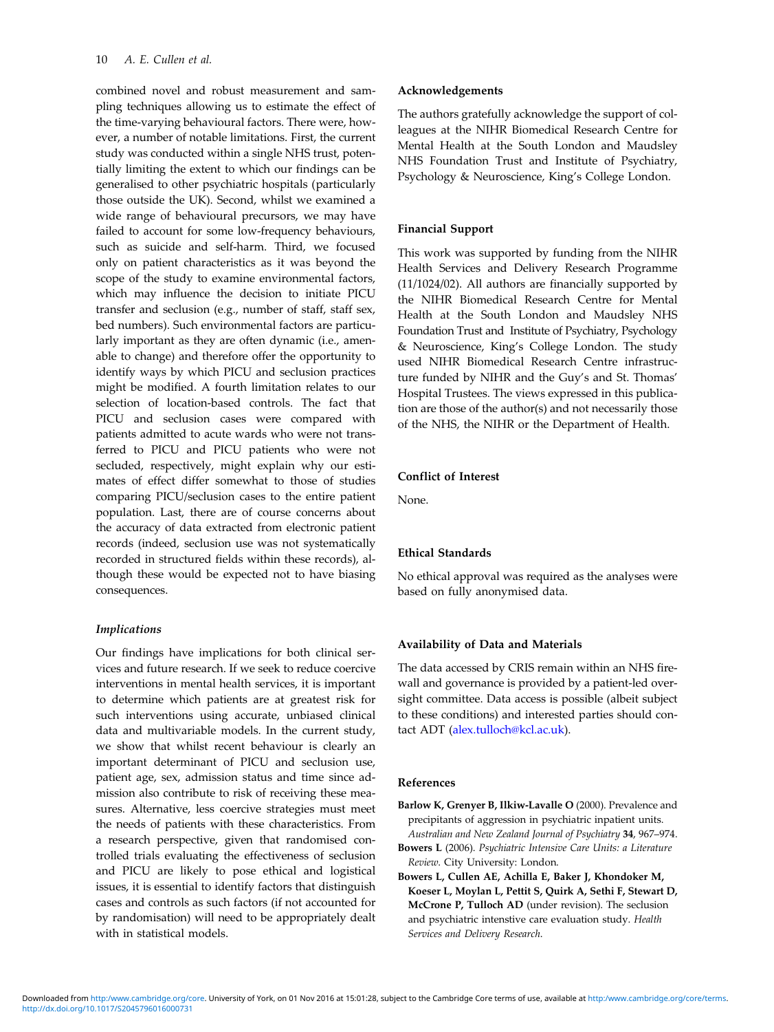combined novel and robust measurement and sampling techniques allowing us to estimate the effect of the time-varying behavioural factors. There were, however, a number of notable limitations. First, the current study was conducted within a single NHS trust, potentially limiting the extent to which our findings can be generalised to other psychiatric hospitals (particularly those outside the UK). Second, whilst we examined a wide range of behavioural precursors, we may have failed to account for some low-frequency behaviours, such as suicide and self-harm. Third, we focused only on patient characteristics as it was beyond the scope of the study to examine environmental factors, which may influence the decision to initiate PICU transfer and seclusion (e.g., number of staff, staff sex, bed numbers). Such environmental factors are particularly important as they are often dynamic (i.e., amenable to change) and therefore offer the opportunity to identify ways by which PICU and seclusion practices might be modified. A fourth limitation relates to our selection of location-based controls. The fact that PICU and seclusion cases were compared with patients admitted to acute wards who were not transferred to PICU and PICU patients who were not secluded, respectively, might explain why our estimates of effect differ somewhat to those of studies comparing PICU/seclusion cases to the entire patient population. Last, there are of course concerns about the accuracy of data extracted from electronic patient records (indeed, seclusion use was not systematically recorded in structured fields within these records), although these would be expected not to have biasing consequences.

# Implications

Our findings have implications for both clinical services and future research. If we seek to reduce coercive interventions in mental health services, it is important to determine which patients are at greatest risk for such interventions using accurate, unbiased clinical data and multivariable models. In the current study, we show that whilst recent behaviour is clearly an important determinant of PICU and seclusion use, patient age, sex, admission status and time since admission also contribute to risk of receiving these measures. Alternative, less coercive strategies must meet the needs of patients with these characteristics. From a research perspective, given that randomised controlled trials evaluating the effectiveness of seclusion and PICU are likely to pose ethical and logistical issues, it is essential to identify factors that distinguish cases and controls as such factors (if not accounted for by randomisation) will need to be appropriately dealt with in statistical models.

## Acknowledgements

The authors gratefully acknowledge the support of colleagues at the NIHR Biomedical Research Centre for Mental Health at the South London and Maudsley NHS Foundation Trust and Institute of Psychiatry, Psychology & Neuroscience, King's College London.

## Financial Support

This work was supported by funding from the NIHR Health Services and Delivery Research Programme (11/1024/02). All authors are financially supported by the NIHR Biomedical Research Centre for Mental Health at the South London and Maudsley NHS Foundation Trust and Institute of Psychiatry, Psychology & Neuroscience, King's College London. The study used NIHR Biomedical Research Centre infrastructure funded by NIHR and the Guy's and St. Thomas' Hospital Trustees. The views expressed in this publication are those of the author(s) and not necessarily those of the NHS, the NIHR or the Department of Health.

# Conflict of Interest

None.

# Ethical Standards

No ethical approval was required as the analyses were based on fully anonymised data.

# Availability of Data and Materials

The data accessed by CRIS remain within an NHS firewall and governance is provided by a patient-led oversight committee. Data access is possible (albeit subject to these conditions) and interested parties should contact ADT (alex.tulloch@kcl.ac.uk).

## References

- Barlow K, Grenyer B, Ilkiw-Lavalle O (2000). Prevalence and precipitants of aggression in psychiatric inpatient units. *Australian and New Zealand Journal of Psychiatry* 34, 967–974.
- Bowers L (2006). *Psychiatric Intensive Care Units: a Literature Review*. City University: London.
- Bowers L, Cullen AE, Achilla E, Baker J, Khondoker M, Koeser L, Moylan L, Pettit S, Quirk A, Sethi F, Stewart D, McCrone P, Tulloch AD (under revision). The seclusion and psychiatric intenstive care evaluation study. *Health Services and Delivery Research*.